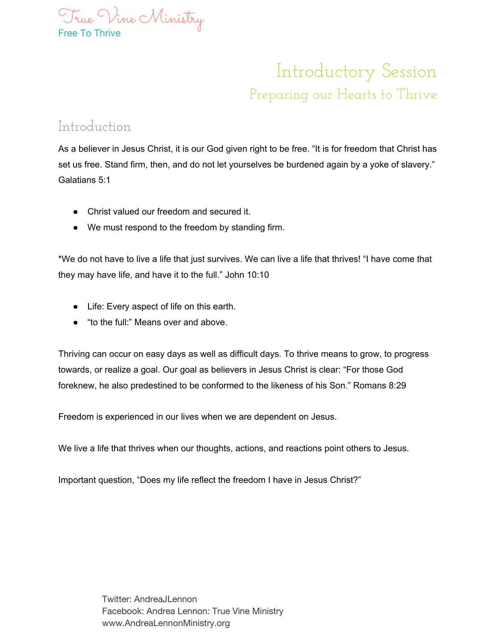

## Introductory Session Preparing our Hearts to Thrive

## Introduction

As a believer in Jesus Christ, it is our God given right to be free. "It is for freedom that Christ has set us free. Stand firm, then, and do not let yourselves be burdened again by a yoke of slavery." Galatians 5:1

- Christ valued our freedom and secured it.
- We must respond to the freedom by standing firm.

\*We do not have to live a life that just survives. We can live a life that thrives! "I have come that they may have life, and have it to the full." John 10:10

- Life: Every aspect of life on this earth.
- "to the full:" Means over and above.

Thriving can occur on easy days as well as difficult days. To thrive means to grow, to progress towards, or realize a goal. Our goal as believers in Jesus Christ is clear: "For those God foreknew, he also predestined to be conformed to the likeness of his Son." Romans 8:29

Freedom is experienced in our lives when we are dependent on Jesus.

We live a life that thrives when our thoughts, actions, and reactions point others to Jesus.

Important question, "Does my life reflect the freedom I have in Jesus Christ?"

Twitter: AndreaJLennon Facebook: Andrea Lennon: True Vine Ministry www.AndreaLennonMinistry.org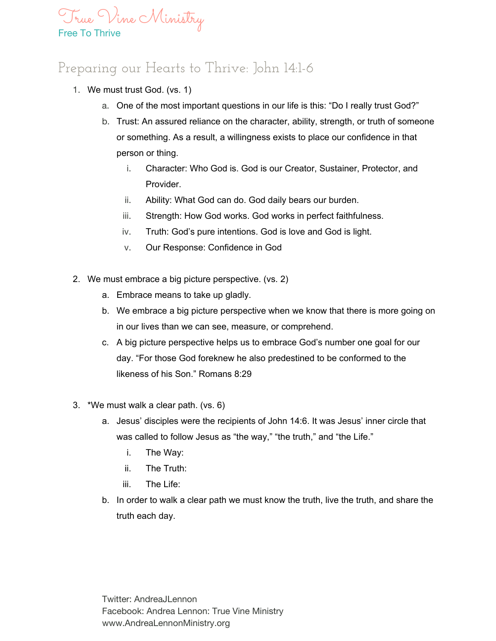

## Preparing our Hearts to Thrive: John 14:1-6

- 1. We must trust God. (vs. 1)
	- a. One of the most important questions in our life is this: "Do I really trust God?"
	- b. Trust: An assured reliance on the character, ability, strength, or truth of someone or something. As a result, a willingness exists to place our confidence in that person or thing.
		- i. Character: Who God is. God is our Creator, Sustainer, Protector, and Provider.
		- ii. Ability: What God can do. God daily bears our burden.
		- iii. Strength: How God works. God works in perfect faithfulness.
		- iv. Truth: God's pure intentions. God is love and God is light.
		- v. Our Response: Confidence in God
- 2. We must embrace a big picture perspective. (vs. 2)
	- a. Embrace means to take up gladly.
	- b. We embrace a big picture perspective when we know that there is more going on in our lives than we can see, measure, or comprehend.
	- c. A big picture perspective helps us to embrace God's number one goal for our day. "For those God foreknew he also predestined to be conformed to the likeness of his Son." Romans 8:29
- 3. \*We must walk a clear path. (vs. 6)
	- a. Jesus' disciples were the recipients of John 14:6. It was Jesus' inner circle that was called to follow Jesus as "the way," "the truth," and "the Life."
		- i. The Way:
		- ii. The Truth:
		- iii. The Life:
	- b. In order to walk a clear path we must know the truth, live the truth, and share the truth each day.